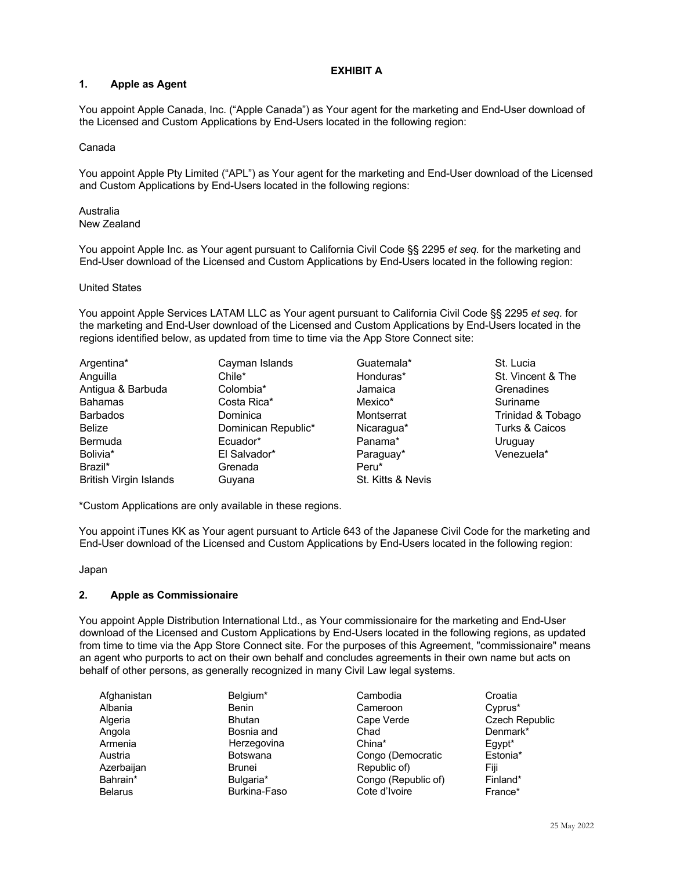# **EXHIBIT A**

# **1. Apple as Agent**

You appoint Apple Canada, Inc. ("Apple Canada") as Your agent for the marketing and End-User download of the Licensed and Custom Applications by End-Users located in the following region:

### Canada

You appoint Apple Pty Limited ("APL") as Your agent for the marketing and End-User download of the Licensed and Custom Applications by End-Users located in the following regions:

#### Australia New Zealand

You appoint Apple Inc. as Your agent pursuant to California Civil Code §§ 2295 *et seq.* for the marketing and End-User download of the Licensed and Custom Applications by End-Users located in the following region:

### United States

You appoint Apple Services LATAM LLC as Your agent pursuant to California Civil Code §§ 2295 *et seq.* for the marketing and End-User download of the Licensed and Custom Applications by End-Users located in the regions identified below, as updated from time to time via the App Store Connect site:

| Argentina*             | Cayman Islands      | Guatemala*        | St. Lucia         |
|------------------------|---------------------|-------------------|-------------------|
| Anguilla               | Chile*              | Honduras*         | St. Vincent & The |
| Antigua & Barbuda      | Colombia*           | Jamaica           | Grenadines        |
| <b>Bahamas</b>         | Costa Rica*         | Mexico*           | Suriname          |
| <b>Barbados</b>        | Dominica            | Montserrat        | Trinidad & Tobago |
| <b>Belize</b>          | Dominican Republic* | Nicaragua*        | Turks & Caicos    |
| Bermuda                | Ecuador*            | Panama*           | Uruguay           |
| Bolivia*               | El Salvador*        | Paraguay*         | Venezuela*        |
| Brazil*                | Grenada             | Peru*             |                   |
| British Virgin Islands | Guyana              | St. Kitts & Nevis |                   |

\*Custom Applications are only available in these regions.

You appoint iTunes KK as Your agent pursuant to Article 643 of the Japanese Civil Code for the marketing and End-User download of the Licensed and Custom Applications by End-Users located in the following region:

# Japan

# **2. Apple as Commissionaire**

You appoint Apple Distribution International Ltd., as Your commissionaire for the marketing and End-User download of the Licensed and Custom Applications by End-Users located in the following regions, as updated from time to time via the App Store Connect site. For the purposes of this Agreement, "commissionaire" means an agent who purports to act on their own behalf and concludes agreements in their own name but acts on behalf of other persons, as generally recognized in many Civil Law legal systems.

| Afghanistan    | Belgium*        |
|----------------|-----------------|
| Albania        | Benin           |
| Algeria        | <b>Bhutan</b>   |
| Angola         | Bosnia and      |
| Armenia        | Herzegovina     |
| Austria        | <b>Botswana</b> |
| Azerbaijan     | <b>Brunei</b>   |
| Bahrain*       | Bulgaria*       |
| <b>Belarus</b> | Burkina-Faso    |

- Cambodia Cameroon Cape Verde Chad China\* Congo (Democratic Republic of) Congo (Republic of) Cote d'Ivoire
- Croatia Cyprus\* Czech Republic Denmark\* Egypt\* Estonia\* Fiji Finland\* France\*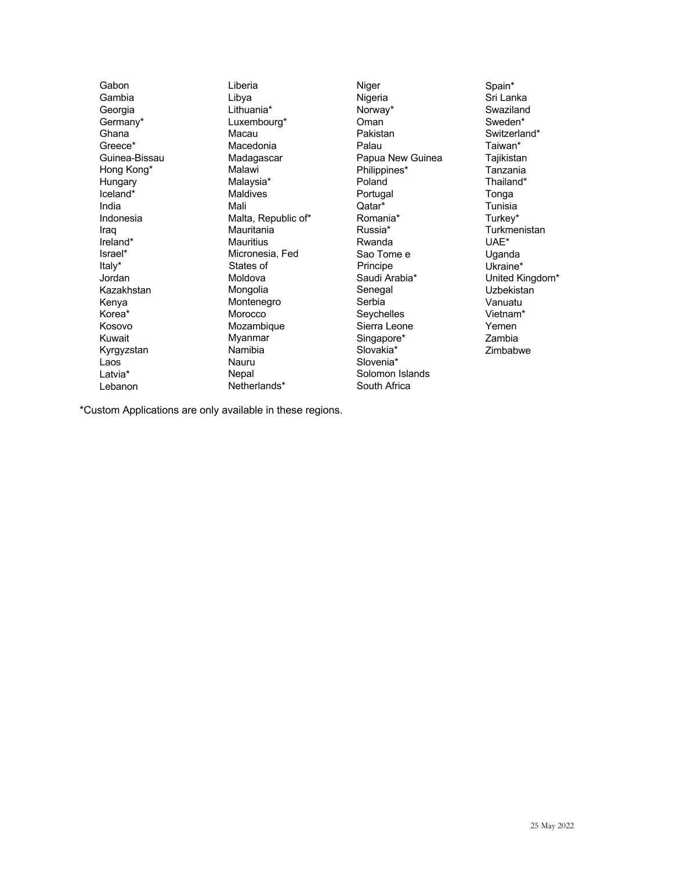Gabon Gambia Georgia Germany\* Ghana Greece\* Guinea-Bissau Hong Kong\* Hungary Iceland\* India Indonesia Iraq Ireland\* Israel\* Italy\* Jordan Kazakhstan Kenya Korea\* Kosovo Kuwait Kyrgyzstan Laos Latvia\* Lebanon

Liberia Libya Lithuania\* Luxembourg\* Macau Macedonia Madagascar Malawi Malaysia\* Maldives Mali Malta, Republic of\* **Mauritania** Mauritius Micronesia, Fed States of Moldova Mongolia Montenegro **Morocco** Mozambique Myanmar Namibia Nauru Nepal Netherlands\*

Niger Nigeria Norway\* Oman Pakistan Palau Papua New Guinea Philippines\* Poland Portugal Qatar\* Romania\* Russia\* Rwanda Sao Tome e Principe Saudi Arabia\* Senegal Serbia Seychelles Sierra Leone Singapore\* Slovakia\* Slovenia\* Solomon Islands South Africa

Spain\* Sri Lanka Swaziland Sweden\* Switzerland\* Taiwan\* Tajikistan Tanzania Thailand\* Tonga Tunisia Turkey\* **Turkmenistan** UAE\* Uganda Ukraine\* United Kingdom\* **Uzbekistan** Vanuatu Vietnam\* Yemen Zambia Zimbabwe

\*Custom Applications are only available in these regions.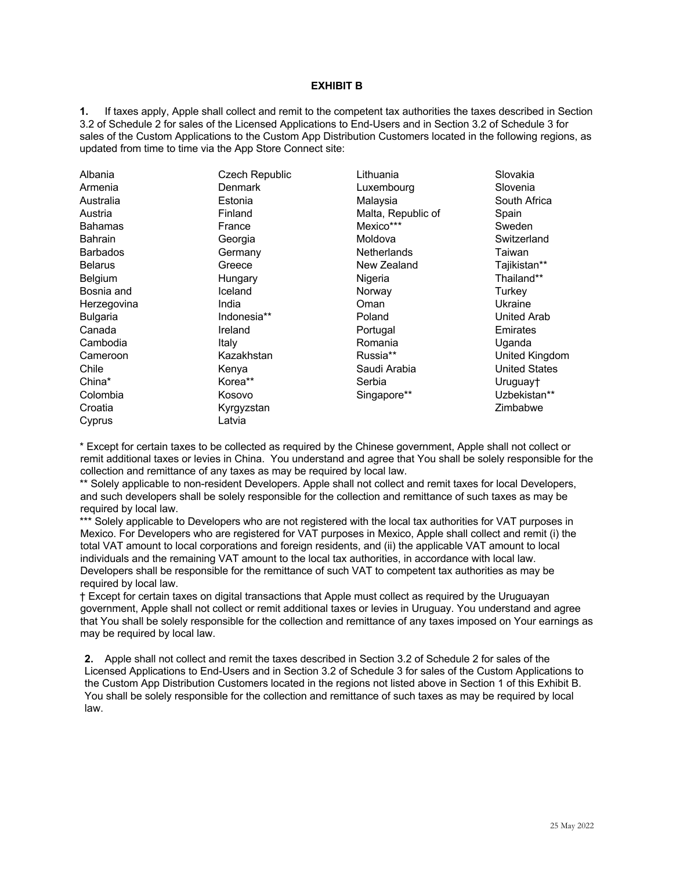#### **EXHIBIT B**

**1.** If taxes apply, Apple shall collect and remit to the competent tax authorities the taxes described in Section 3.2 of Schedule 2 for sales of the Licensed Applications to End-Users and in Section 3.2 of Schedule 3 for sales of the Custom Applications to the Custom App Distribution Customers located in the following regions, as updated from time to time via the App Store Connect site:

| Albania         | Czech Republic<br><b>Denmark</b> | Lithuania          | Slovakia             |
|-----------------|----------------------------------|--------------------|----------------------|
| Armenia         |                                  | Luxembourg         | Slovenia             |
| Australia       | Estonia                          | Malaysia           | South Africa         |
| Austria         | Finland                          | Malta, Republic of | Spain                |
| <b>Bahamas</b>  | France                           | Mexico***          | Sweden               |
| <b>Bahrain</b>  | Georgia                          | Moldova            | Switzerland          |
| <b>Barbados</b> | Germany                          | Netherlands        | Taiwan               |
| <b>Belarus</b>  | Greece                           | New Zealand        | Tajikistan**         |
| Belgium         | Hungary                          | Nigeria            | Thailand**           |
| Bosnia and      | Iceland                          | Norway             | Turkey               |
| Herzegovina     | India                            | Oman               | Ukraine              |
| <b>Bulgaria</b> | Indonesia**                      | Poland             | United Arab          |
| Canada          | Ireland                          | Portugal           | Emirates             |
| Cambodia        | Italy                            | Romania            | Uganda               |
| Cameroon        | Kazakhstan                       | Russia**           | United Kingdom       |
| Chile           | Kenya                            | Saudi Arabia       | <b>United States</b> |
| China*          | Korea**                          | Serbia             | Uruguay†             |
| Colombia        | Kosovo                           | Singapore**        | Uzbekistan**         |
| Croatia         | Kyrgyzstan                       |                    | Zimbabwe             |
| Cyprus          | Latvia                           |                    |                      |

\* Except for certain taxes to be collected as required by the Chinese government, Apple shall not collect or remit additional taxes or levies in China. You understand and agree that You shall be solely responsible for the collection and remittance of any taxes as may be required by local law.

\*\* Solely applicable to non-resident Developers. Apple shall not collect and remit taxes for local Developers, and such developers shall be solely responsible for the collection and remittance of such taxes as may be required by local law.

\*\*\* Solely applicable to Developers who are not registered with the local tax authorities for VAT purposes in Mexico. For Developers who are registered for VAT purposes in Mexico, Apple shall collect and remit (i) the total VAT amount to local corporations and foreign residents, and (ii) the applicable VAT amount to local individuals and the remaining VAT amount to the local tax authorities, in accordance with local law. Developers shall be responsible for the remittance of such VAT to competent tax authorities as may be required by local law.

† Except for certain taxes on digital transactions that Apple must collect as required by the Uruguayan government, Apple shall not collect or remit additional taxes or levies in Uruguay. You understand and agree that You shall be solely responsible for the collection and remittance of any taxes imposed on Your earnings as may be required by local law.

**2.** Apple shall not collect and remit the taxes described in Section 3.2 of Schedule 2 for sales of the Licensed Applications to End-Users and in Section 3.2 of Schedule 3 for sales of the Custom Applications to the Custom App Distribution Customers located in the regions not listed above in Section 1 of this Exhibit B. You shall be solely responsible for the collection and remittance of such taxes as may be required by local law.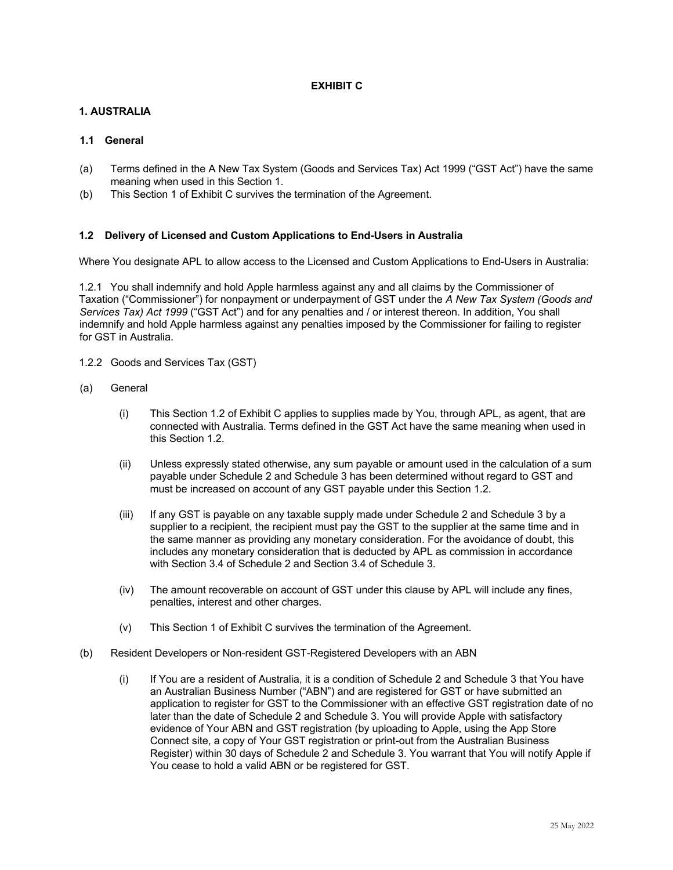# **EXHIBIT C**

# **1. AUSTRALIA**

# **1.1 General**

- (a) Terms defined in the A New Tax System (Goods and Services Tax) Act 1999 ("GST Act") have the same meaning when used in this Section 1.
- (b) This Section 1 of Exhibit C survives the termination of the Agreement.

# **1.2 Delivery of Licensed and Custom Applications to End-Users in Australia**

Where You designate APL to allow access to the Licensed and Custom Applications to End-Users in Australia:

1.2.1 You shall indemnify and hold Apple harmless against any and all claims by the Commissioner of Taxation ("Commissioner") for nonpayment or underpayment of GST under the *A New Tax System (Goods and Services Tax) Act 1999* ("GST Act") and for any penalties and / or interest thereon. In addition, You shall indemnify and hold Apple harmless against any penalties imposed by the Commissioner for failing to register for GST in Australia.

- 1.2.2 Goods and Services Tax (GST)
- (a) General
	- (i) This Section 1.2 of Exhibit C applies to supplies made by You, through APL, as agent, that are connected with Australia. Terms defined in the GST Act have the same meaning when used in this Section 1.2.
	- (ii) Unless expressly stated otherwise, any sum payable or amount used in the calculation of a sum payable under Schedule 2 and Schedule 3 has been determined without regard to GST and must be increased on account of any GST payable under this Section 1.2.
	- (iii) If any GST is payable on any taxable supply made under Schedule 2 and Schedule 3 by a supplier to a recipient, the recipient must pay the GST to the supplier at the same time and in the same manner as providing any monetary consideration. For the avoidance of doubt, this includes any monetary consideration that is deducted by APL as commission in accordance with Section 3.4 of Schedule 2 and Section 3.4 of Schedule 3.
	- (iv) The amount recoverable on account of GST under this clause by APL will include any fines, penalties, interest and other charges.
	- (v) This Section 1 of Exhibit C survives the termination of the Agreement.
- (b) Resident Developers or Non-resident GST-Registered Developers with an ABN
	- (i) If You are a resident of Australia, it is a condition of Schedule 2 and Schedule 3 that You have an Australian Business Number ("ABN") and are registered for GST or have submitted an application to register for GST to the Commissioner with an effective GST registration date of no later than the date of Schedule 2 and Schedule 3. You will provide Apple with satisfactory evidence of Your ABN and GST registration (by uploading to Apple, using the App Store Connect site, a copy of Your GST registration or print-out from the Australian Business Register) within 30 days of Schedule 2 and Schedule 3. You warrant that You will notify Apple if You cease to hold a valid ABN or be registered for GST.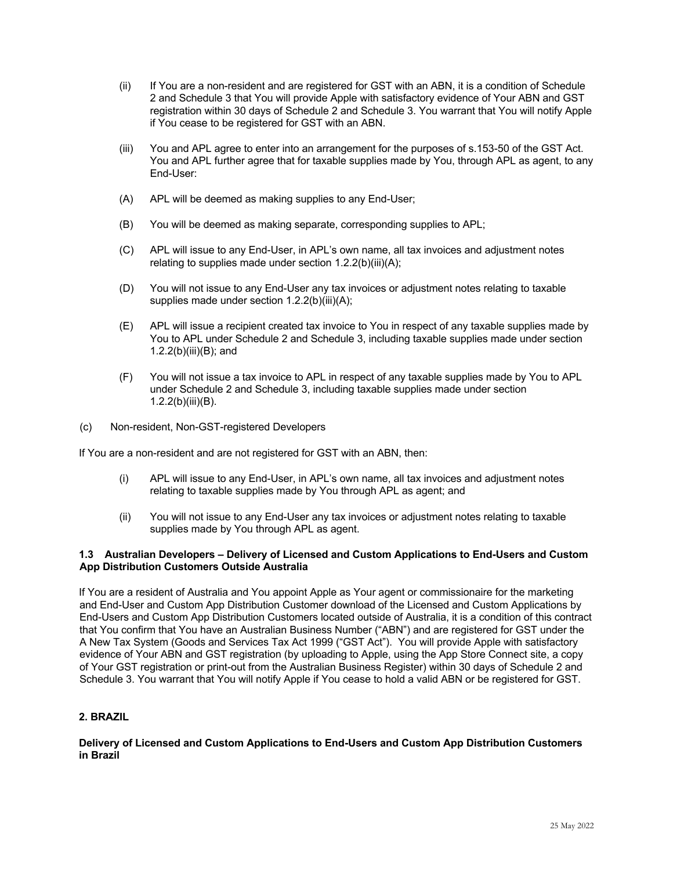- (ii) If You are a non-resident and are registered for GST with an ABN, it is a condition of Schedule 2 and Schedule 3 that You will provide Apple with satisfactory evidence of Your ABN and GST registration within 30 days of Schedule 2 and Schedule 3. You warrant that You will notify Apple if You cease to be registered for GST with an ABN.
- (iii) You and APL agree to enter into an arrangement for the purposes of s.153-50 of the GST Act. You and APL further agree that for taxable supplies made by You, through APL as agent, to any End-User:
- (A) APL will be deemed as making supplies to any End-User;
- (B) You will be deemed as making separate, corresponding supplies to APL;
- (C) APL will issue to any End-User, in APL's own name, all tax invoices and adjustment notes relating to supplies made under section 1.2.2(b)(iii)(A);
- (D) You will not issue to any End-User any tax invoices or adjustment notes relating to taxable supplies made under section 1.2.2(b)(iii)(A);
- (E) APL will issue a recipient created tax invoice to You in respect of any taxable supplies made by You to APL under Schedule 2 and Schedule 3, including taxable supplies made under section 1.2.2(b)(iii)(B); and
- (F) You will not issue a tax invoice to APL in respect of any taxable supplies made by You to APL under Schedule 2 and Schedule 3, including taxable supplies made under section 1.2.2(b)(iii)(B).
- (c) Non-resident, Non-GST-registered Developers

If You are a non-resident and are not registered for GST with an ABN, then:

- (i) APL will issue to any End-User, in APL's own name, all tax invoices and adjustment notes relating to taxable supplies made by You through APL as agent; and
- (ii) You will not issue to any End-User any tax invoices or adjustment notes relating to taxable supplies made by You through APL as agent.

### **1.3 Australian Developers – Delivery of Licensed and Custom Applications to End-Users and Custom App Distribution Customers Outside Australia**

If You are a resident of Australia and You appoint Apple as Your agent or commissionaire for the marketing and End-User and Custom App Distribution Customer download of the Licensed and Custom Applications by End-Users and Custom App Distribution Customers located outside of Australia, it is a condition of this contract that You confirm that You have an Australian Business Number ("ABN") and are registered for GST under the A New Tax System (Goods and Services Tax Act 1999 ("GST Act"). You will provide Apple with satisfactory evidence of Your ABN and GST registration (by uploading to Apple, using the App Store Connect site, a copy of Your GST registration or print-out from the Australian Business Register) within 30 days of Schedule 2 and Schedule 3. You warrant that You will notify Apple if You cease to hold a valid ABN or be registered for GST.

# **2. BRAZIL**

**Delivery of Licensed and Custom Applications to End-Users and Custom App Distribution Customers in Brazil**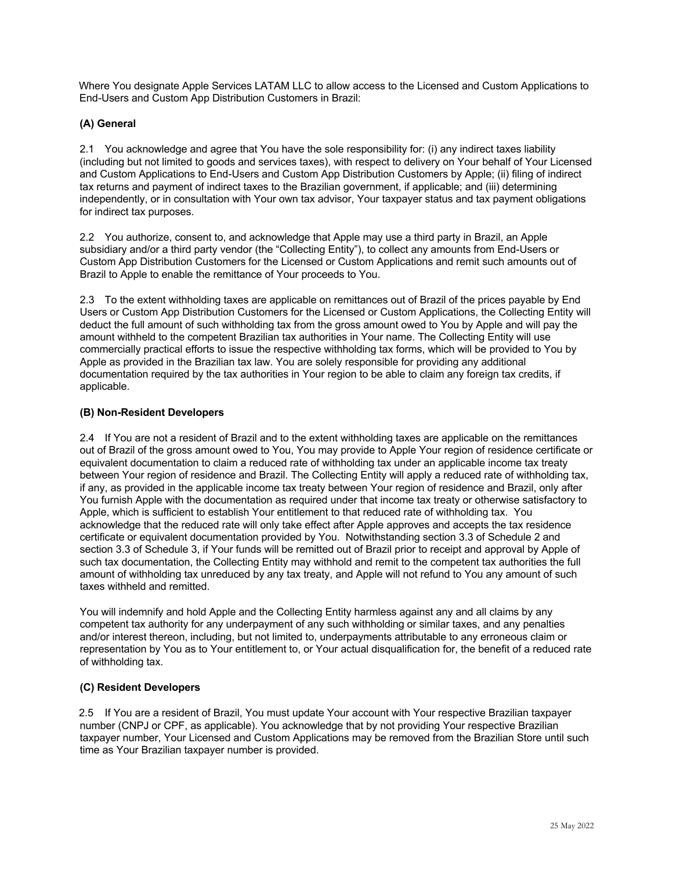Where You designate Apple Services LATAM LLC to allow access to the Licensed and Custom Applications to End-Users and Custom App Distribution Customers in Brazil:

# **(A) General**

2.1 You acknowledge and agree that You have the sole responsibility for: (i) any indirect taxes liability (including but not limited to goods and services taxes), with respect to delivery on Your behalf of Your Licensed and Custom Applications to End-Users and Custom App Distribution Customers by Apple; (ii) filing of indirect tax returns and payment of indirect taxes to the Brazilian government, if applicable; and (iii) determining independently, or in consultation with Your own tax advisor, Your taxpayer status and tax payment obligations for indirect tax purposes.

2.2 You authorize, consent to, and acknowledge that Apple may use a third party in Brazil, an Apple subsidiary and/or a third party vendor (the "Collecting Entity"), to collect any amounts from End-Users or Custom App Distribution Customers for the Licensed or Custom Applications and remit such amounts out of Brazil to Apple to enable the remittance of Your proceeds to You.

2.3 To the extent withholding taxes are applicable on remittances out of Brazil of the prices payable by End Users or Custom App Distribution Customers for the Licensed or Custom Applications, the Collecting Entity will deduct the full amount of such withholding tax from the gross amount owed to You by Apple and will pay the amount withheld to the competent Brazilian tax authorities in Your name. The Collecting Entity will use commercially practical efforts to issue the respective withholding tax forms, which will be provided to You by Apple as provided in the Brazilian tax law. You are solely responsible for providing any additional documentation required by the tax authorities in Your region to be able to claim any foreign tax credits, if applicable.

# **(B) Non-Resident Developers**

2.4 If You are not a resident of Brazil and to the extent withholding taxes are applicable on the remittances out of Brazil of the gross amount owed to You, You may provide to Apple Your region of residence certificate or equivalent documentation to claim a reduced rate of withholding tax under an applicable income tax treaty between Your region of residence and Brazil. The Collecting Entity will apply a reduced rate of withholding tax, if any, as provided in the applicable income tax treaty between Your region of residence and Brazil, only after You furnish Apple with the documentation as required under that income tax treaty or otherwise satisfactory to Apple, which is sufficient to establish Your entitlement to that reduced rate of withholding tax. You acknowledge that the reduced rate will only take effect after Apple approves and accepts the tax residence certificate or equivalent documentation provided by You. Notwithstanding section 3.3 of Schedule 2 and section 3.3 of Schedule 3, if Your funds will be remitted out of Brazil prior to receipt and approval by Apple of such tax documentation, the Collecting Entity may withhold and remit to the competent tax authorities the full amount of withholding tax unreduced by any tax treaty, and Apple will not refund to You any amount of such taxes withheld and remitted.

You will indemnify and hold Apple and the Collecting Entity harmless against any and all claims by any competent tax authority for any underpayment of any such withholding or similar taxes, and any penalties and/or interest thereon, including, but not limited to, underpayments attributable to any erroneous claim or representation by You as to Your entitlement to, or Your actual disqualification for, the benefit of a reduced rate of withholding tax.

# **(C) Resident Developers**

2.5 If You are a resident of Brazil, You must update Your account with Your respective Brazilian taxpayer number (CNPJ or CPF, as applicable). You acknowledge that by not providing Your respective Brazilian taxpayer number, Your Licensed and Custom Applications may be removed from the Brazilian Store until such time as Your Brazilian taxpayer number is provided.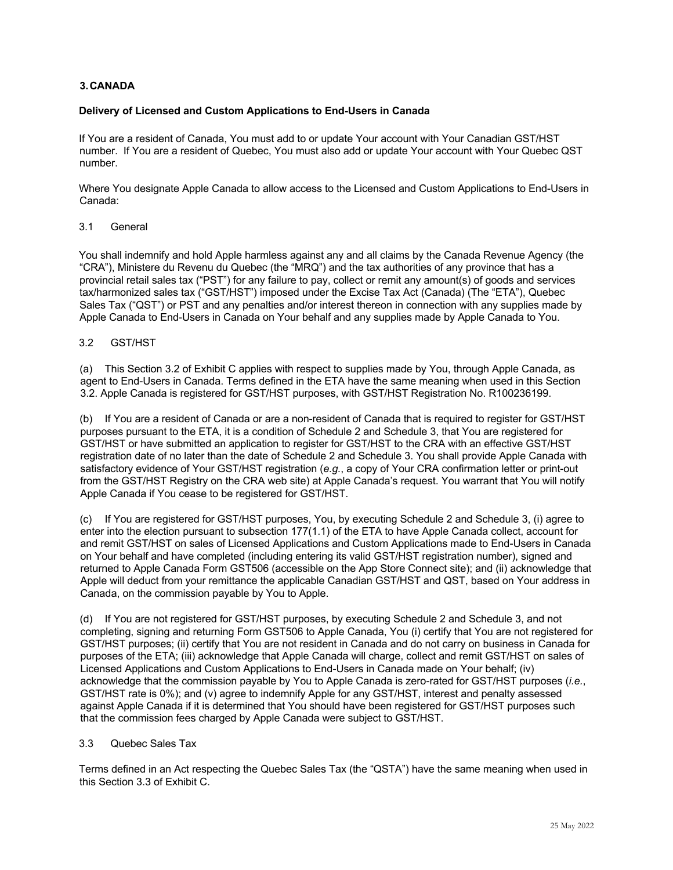# **3.CANADA**

### **Delivery of Licensed and Custom Applications to End-Users in Canada**

If You are a resident of Canada, You must add to or update Your account with Your Canadian GST/HST number. If You are a resident of Quebec, You must also add or update Your account with Your Quebec QST number.

Where You designate Apple Canada to allow access to the Licensed and Custom Applications to End-Users in Canada:

### 3.1 General

You shall indemnify and hold Apple harmless against any and all claims by the Canada Revenue Agency (the "CRA"), Ministere du Revenu du Quebec (the "MRQ") and the tax authorities of any province that has a provincial retail sales tax ("PST") for any failure to pay, collect or remit any amount(s) of goods and services tax/harmonized sales tax ("GST/HST") imposed under the Excise Tax Act (Canada) (The "ETA"), Quebec Sales Tax ("QST") or PST and any penalties and/or interest thereon in connection with any supplies made by Apple Canada to End-Users in Canada on Your behalf and any supplies made by Apple Canada to You.

### 3.2 GST/HST

(a) This Section 3.2 of Exhibit C applies with respect to supplies made by You, through Apple Canada, as agent to End-Users in Canada. Terms defined in the ETA have the same meaning when used in this Section 3.2. Apple Canada is registered for GST/HST purposes, with GST/HST Registration No. R100236199.

(b) If You are a resident of Canada or are a non-resident of Canada that is required to register for GST/HST purposes pursuant to the ETA, it is a condition of Schedule 2 and Schedule 3, that You are registered for GST/HST or have submitted an application to register for GST/HST to the CRA with an effective GST/HST registration date of no later than the date of Schedule 2 and Schedule 3. You shall provide Apple Canada with satisfactory evidence of Your GST/HST registration (*e.g.*, a copy of Your CRA confirmation letter or print-out from the GST/HST Registry on the CRA web site) at Apple Canada's request. You warrant that You will notify Apple Canada if You cease to be registered for GST/HST.

(c) If You are registered for GST/HST purposes, You, by executing Schedule 2 and Schedule 3, (i) agree to enter into the election pursuant to subsection 177(1.1) of the ETA to have Apple Canada collect, account for and remit GST/HST on sales of Licensed Applications and Custom Applications made to End-Users in Canada on Your behalf and have completed (including entering its valid GST/HST registration number), signed and returned to Apple Canada Form GST506 (accessible on the App Store Connect site); and (ii) acknowledge that Apple will deduct from your remittance the applicable Canadian GST/HST and QST, based on Your address in Canada, on the commission payable by You to Apple.

(d) If You are not registered for GST/HST purposes, by executing Schedule 2 and Schedule 3, and not completing, signing and returning Form GST506 to Apple Canada, You (i) certify that You are not registered for GST/HST purposes; (ii) certify that You are not resident in Canada and do not carry on business in Canada for purposes of the ETA; (iii) acknowledge that Apple Canada will charge, collect and remit GST/HST on sales of Licensed Applications and Custom Applications to End-Users in Canada made on Your behalf; (iv) acknowledge that the commission payable by You to Apple Canada is zero-rated for GST/HST purposes (*i.e.*, GST/HST rate is 0%); and (v) agree to indemnify Apple for any GST/HST, interest and penalty assessed against Apple Canada if it is determined that You should have been registered for GST/HST purposes such that the commission fees charged by Apple Canada were subject to GST/HST.

#### 3.3 Quebec Sales Tax

Terms defined in an Act respecting the Quebec Sales Tax (the "QSTA") have the same meaning when used in this Section 3.3 of Exhibit C.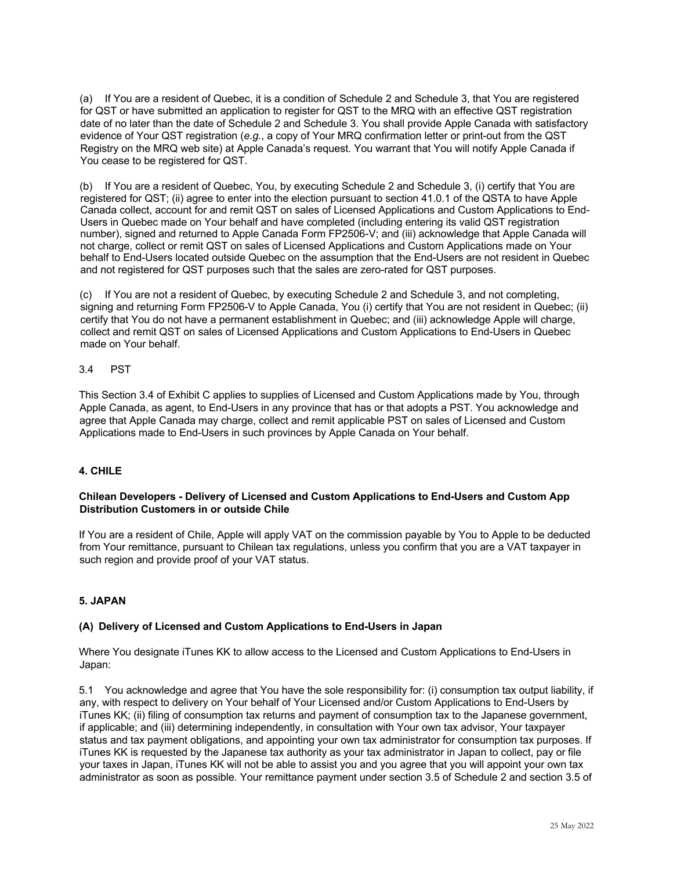(a) If You are a resident of Quebec, it is a condition of Schedule 2 and Schedule 3, that You are registered for QST or have submitted an application to register for QST to the MRQ with an effective QST registration date of no later than the date of Schedule 2 and Schedule 3. You shall provide Apple Canada with satisfactory evidence of Your QST registration (*e.g.*, a copy of Your MRQ confirmation letter or print-out from the QST Registry on the MRQ web site) at Apple Canada's request. You warrant that You will notify Apple Canada if You cease to be registered for QST.

(b) If You are a resident of Quebec, You, by executing Schedule 2 and Schedule 3, (i) certify that You are registered for QST; (ii) agree to enter into the election pursuant to section 41.0.1 of the QSTA to have Apple Canada collect, account for and remit QST on sales of Licensed Applications and Custom Applications to End-Users in Quebec made on Your behalf and have completed (including entering its valid QST registration number), signed and returned to Apple Canada Form FP2506-V; and (iii) acknowledge that Apple Canada will not charge, collect or remit QST on sales of Licensed Applications and Custom Applications made on Your behalf to End-Users located outside Quebec on the assumption that the End-Users are not resident in Quebec and not registered for QST purposes such that the sales are zero-rated for QST purposes.

(c) If You are not a resident of Quebec, by executing Schedule 2 and Schedule 3, and not completing, signing and returning Form FP2506-V to Apple Canada, You (i) certify that You are not resident in Quebec; (ii) certify that You do not have a permanent establishment in Quebec; and (iii) acknowledge Apple will charge, collect and remit QST on sales of Licensed Applications and Custom Applications to End-Users in Quebec made on Your behalf.

# 3.4 PST

This Section 3.4 of Exhibit C applies to supplies of Licensed and Custom Applications made by You, through Apple Canada, as agent, to End-Users in any province that has or that adopts a PST. You acknowledge and agree that Apple Canada may charge, collect and remit applicable PST on sales of Licensed and Custom Applications made to End-Users in such provinces by Apple Canada on Your behalf.

# **4. CHILE**

### **Chilean Developers - Delivery of Licensed and Custom Applications to End-Users and Custom App Distribution Customers in or outside Chile**

If You are a resident of Chile, Apple will apply VAT on the commission payable by You to Apple to be deducted from Your remittance, pursuant to Chilean tax regulations, unless you confirm that you are a VAT taxpayer in such region and provide proof of your VAT status.

### **5. JAPAN**

#### **(A) Delivery of Licensed and Custom Applications to End-Users in Japan**

Where You designate iTunes KK to allow access to the Licensed and Custom Applications to End-Users in Japan:

5.1 You acknowledge and agree that You have the sole responsibility for: (i) consumption tax output liability, if any, with respect to delivery on Your behalf of Your Licensed and/or Custom Applications to End-Users by iTunes KK; (ii) filing of consumption tax returns and payment of consumption tax to the Japanese government, if applicable; and (iii) determining independently, in consultation with Your own tax advisor, Your taxpayer status and tax payment obligations, and appointing your own tax administrator for consumption tax purposes. If iTunes KK is requested by the Japanese tax authority as your tax administrator in Japan to collect, pay or file your taxes in Japan, iTunes KK will not be able to assist you and you agree that you will appoint your own tax administrator as soon as possible. Your remittance payment under section 3.5 of Schedule 2 and section 3.5 of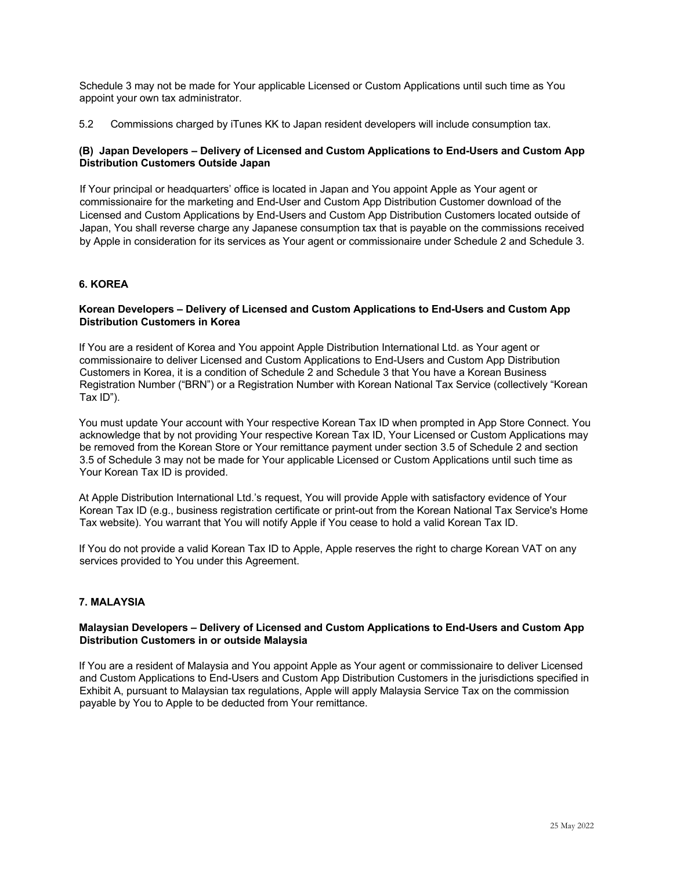Schedule 3 may not be made for Your applicable Licensed or Custom Applications until such time as You appoint your own tax administrator.

5.2 Commissions charged by iTunes KK to Japan resident developers will include consumption tax.

# **(B) Japan Developers – Delivery of Licensed and Custom Applications to End-Users and Custom App Distribution Customers Outside Japan**

If Your principal or headquarters' office is located in Japan and You appoint Apple as Your agent or commissionaire for the marketing and End-User and Custom App Distribution Customer download of the Licensed and Custom Applications by End-Users and Custom App Distribution Customers located outside of Japan, You shall reverse charge any Japanese consumption tax that is payable on the commissions received by Apple in consideration for its services as Your agent or commissionaire under Schedule 2 and Schedule 3.

# **6. KOREA**

### **Korean Developers – Delivery of Licensed and Custom Applications to End-Users and Custom App Distribution Customers in Korea**

If You are a resident of Korea and You appoint Apple Distribution International Ltd. as Your agent or commissionaire to deliver Licensed and Custom Applications to End-Users and Custom App Distribution Customers in Korea, it is a condition of Schedule 2 and Schedule 3 that You have a Korean Business Registration Number ("BRN") or a Registration Number with Korean National Tax Service (collectively "Korean Tax ID").

You must update Your account with Your respective Korean Tax ID when prompted in App Store Connect. You acknowledge that by not providing Your respective Korean Tax ID, Your Licensed or Custom Applications may be removed from the Korean Store or Your remittance payment under section 3.5 of Schedule 2 and section 3.5 of Schedule 3 may not be made for Your applicable Licensed or Custom Applications until such time as Your Korean Tax ID is provided.

At Apple Distribution International Ltd.'s request, You will provide Apple with satisfactory evidence of Your Korean Tax ID (e.g., business registration certificate or print-out from the Korean National Tax Service's Home Tax website). You warrant that You will notify Apple if You cease to hold a valid Korean Tax ID.

If You do not provide a valid Korean Tax ID to Apple, Apple reserves the right to charge Korean VAT on any services provided to You under this Agreement.

# **7. MALAYSIA**

# **Malaysian Developers – Delivery of Licensed and Custom Applications to End-Users and Custom App Distribution Customers in or outside Malaysia**

If You are a resident of Malaysia and You appoint Apple as Your agent or commissionaire to deliver Licensed and Custom Applications to End-Users and Custom App Distribution Customers in the jurisdictions specified in Exhibit A, pursuant to Malaysian tax regulations, Apple will apply Malaysia Service Tax on the commission payable by You to Apple to be deducted from Your remittance.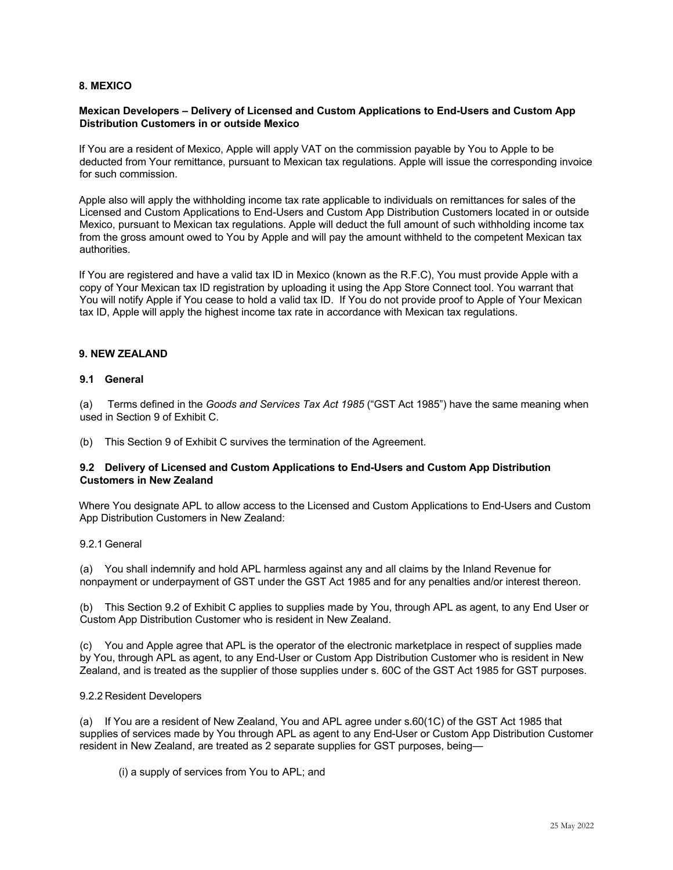### **8. MEXICO**

### **Mexican Developers – Delivery of Licensed and Custom Applications to End-Users and Custom App Distribution Customers in or outside Mexico**

If You are a resident of Mexico, Apple will apply VAT on the commission payable by You to Apple to be deducted from Your remittance, pursuant to Mexican tax regulations. Apple will issue the corresponding invoice for such commission.

Apple also will apply the withholding income tax rate applicable to individuals on remittances for sales of the Licensed and Custom Applications to End-Users and Custom App Distribution Customers located in or outside Mexico, pursuant to Mexican tax regulations. Apple will deduct the full amount of such withholding income tax from the gross amount owed to You by Apple and will pay the amount withheld to the competent Mexican tax authorities.

If You are registered and have a valid tax ID in Mexico (known as the R.F.C), You must provide Apple with a copy of Your Mexican tax ID registration by uploading it using the App Store Connect tool. You warrant that You will notify Apple if You cease to hold a valid tax ID. If You do not provide proof to Apple of Your Mexican tax ID, Apple will apply the highest income tax rate in accordance with Mexican tax regulations.

#### **9. NEW ZEALAND**

#### **9.1 General**

(a) Terms defined in the *Goods and Services Tax Act 1985* ("GST Act 1985") have the same meaning when used in Section 9 of Exhibit C.

(b) This Section 9 of Exhibit C survives the termination of the Agreement.

### **9.2 Delivery of Licensed and Custom Applications to End-Users and Custom App Distribution Customers in New Zealand**

Where You designate APL to allow access to the Licensed and Custom Applications to End-Users and Custom App Distribution Customers in New Zealand:

#### 9.2.1 General

(a) You shall indemnify and hold APL harmless against any and all claims by the Inland Revenue for nonpayment or underpayment of GST under the GST Act 1985 and for any penalties and/or interest thereon.

(b) This Section 9.2 of Exhibit C applies to supplies made by You, through APL as agent, to any End User or Custom App Distribution Customer who is resident in New Zealand.

(c) You and Apple agree that APL is the operator of the electronic marketplace in respect of supplies made by You, through APL as agent, to any End-User or Custom App Distribution Customer who is resident in New Zealand, and is treated as the supplier of those supplies under s. 60C of the GST Act 1985 for GST purposes.

#### 9.2.2 Resident Developers

(a) If You are a resident of New Zealand, You and APL agree under s.60(1C) of the GST Act 1985 that supplies of services made by You through APL as agent to any End-User or Custom App Distribution Customer resident in New Zealand, are treated as 2 separate supplies for GST purposes, being—

(i) a supply of services from You to APL; and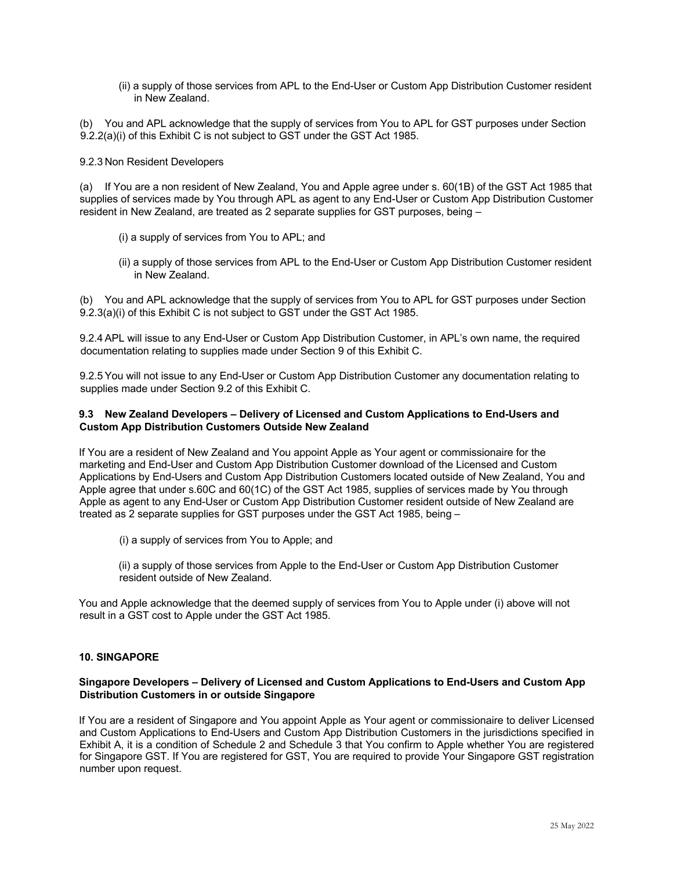(ii) a supply of those services from APL to the End-User or Custom App Distribution Customer resident in New Zealand.

(b) You and APL acknowledge that the supply of services from You to APL for GST purposes under Section 9.2.2(a)(i) of this Exhibit C is not subject to GST under the GST Act 1985.

#### 9.2.3 Non Resident Developers

(a) If You are a non resident of New Zealand, You and Apple agree under s. 60(1B) of the GST Act 1985 that supplies of services made by You through APL as agent to any End-User or Custom App Distribution Customer resident in New Zealand, are treated as 2 separate supplies for GST purposes, being –

- (i) a supply of services from You to APL; and
- (ii) a supply of those services from APL to the End-User or Custom App Distribution Customer resident in New Zealand.

(b) You and APL acknowledge that the supply of services from You to APL for GST purposes under Section 9.2.3(a)(i) of this Exhibit C is not subject to GST under the GST Act 1985.

9.2.4 APL will issue to any End-User or Custom App Distribution Customer, in APL's own name, the required documentation relating to supplies made under Section 9 of this Exhibit C.

9.2.5 You will not issue to any End-User or Custom App Distribution Customer any documentation relating to supplies made under Section 9.2 of this Exhibit C.

### **9.3 New Zealand Developers – Delivery of Licensed and Custom Applications to End-Users and Custom App Distribution Customers Outside New Zealand**

If You are a resident of New Zealand and You appoint Apple as Your agent or commissionaire for the marketing and End-User and Custom App Distribution Customer download of the Licensed and Custom Applications by End-Users and Custom App Distribution Customers located outside of New Zealand, You and Apple agree that under s.60C and 60(1C) of the GST Act 1985, supplies of services made by You through Apple as agent to any End-User or Custom App Distribution Customer resident outside of New Zealand are treated as 2 separate supplies for GST purposes under the GST Act 1985, being –

(i) a supply of services from You to Apple; and

(ii) a supply of those services from Apple to the End-User or Custom App Distribution Customer resident outside of New Zealand.

You and Apple acknowledge that the deemed supply of services from You to Apple under (i) above will not result in a GST cost to Apple under the GST Act 1985.

# **10. SINGAPORE**

### **Singapore Developers – Delivery of Licensed and Custom Applications to End-Users and Custom App Distribution Customers in or outside Singapore**

If You are a resident of Singapore and You appoint Apple as Your agent or commissionaire to deliver Licensed and Custom Applications to End-Users and Custom App Distribution Customers in the jurisdictions specified in Exhibit A, it is a condition of Schedule 2 and Schedule 3 that You confirm to Apple whether You are registered for Singapore GST. If You are registered for GST, You are required to provide Your Singapore GST registration number upon request.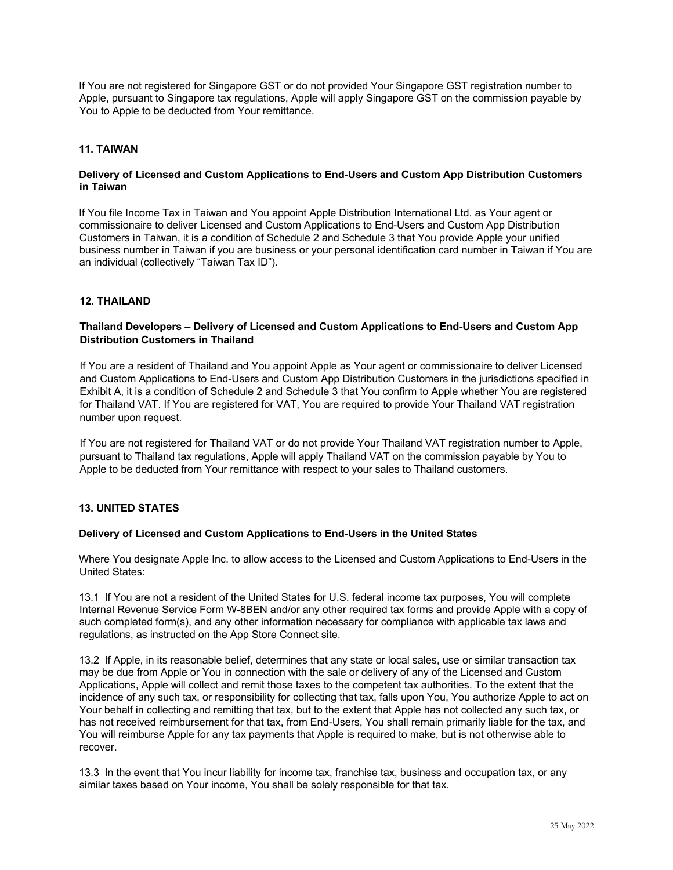If You are not registered for Singapore GST or do not provided Your Singapore GST registration number to Apple, pursuant to Singapore tax regulations, Apple will apply Singapore GST on the commission payable by You to Apple to be deducted from Your remittance.

# **11. TAIWAN**

#### **Delivery of Licensed and Custom Applications to End-Users and Custom App Distribution Customers in Taiwan**

If You file Income Tax in Taiwan and You appoint Apple Distribution International Ltd. as Your agent or commissionaire to deliver Licensed and Custom Applications to End-Users and Custom App Distribution Customers in Taiwan, it is a condition of Schedule 2 and Schedule 3 that You provide Apple your unified business number in Taiwan if you are business or your personal identification card number in Taiwan if You are an individual (collectively "Taiwan Tax ID").

### **12. THAILAND**

### **Thailand Developers – Delivery of Licensed and Custom Applications to End-Users and Custom App Distribution Customers in Thailand**

If You are a resident of Thailand and You appoint Apple as Your agent or commissionaire to deliver Licensed and Custom Applications to End-Users and Custom App Distribution Customers in the jurisdictions specified in Exhibit A, it is a condition of Schedule 2 and Schedule 3 that You confirm to Apple whether You are registered for Thailand VAT. If You are registered for VAT, You are required to provide Your Thailand VAT registration number upon request.

If You are not registered for Thailand VAT or do not provide Your Thailand VAT registration number to Apple, pursuant to Thailand tax regulations, Apple will apply Thailand VAT on the commission payable by You to Apple to be deducted from Your remittance with respect to your sales to Thailand customers.

#### **13. UNITED STATES**

#### **Delivery of Licensed and Custom Applications to End-Users in the United States**

Where You designate Apple Inc. to allow access to the Licensed and Custom Applications to End-Users in the United States:

13.1 If You are not a resident of the United States for U.S. federal income tax purposes, You will complete Internal Revenue Service Form W-8BEN and/or any other required tax forms and provide Apple with a copy of such completed form(s), and any other information necessary for compliance with applicable tax laws and regulations, as instructed on the App Store Connect site.

13.2 If Apple, in its reasonable belief, determines that any state or local sales, use or similar transaction tax may be due from Apple or You in connection with the sale or delivery of any of the Licensed and Custom Applications, Apple will collect and remit those taxes to the competent tax authorities. To the extent that the incidence of any such tax, or responsibility for collecting that tax, falls upon You, You authorize Apple to act on Your behalf in collecting and remitting that tax, but to the extent that Apple has not collected any such tax, or has not received reimbursement for that tax, from End-Users, You shall remain primarily liable for the tax, and You will reimburse Apple for any tax payments that Apple is required to make, but is not otherwise able to recover.

13.3 In the event that You incur liability for income tax, franchise tax, business and occupation tax, or any similar taxes based on Your income, You shall be solely responsible for that tax.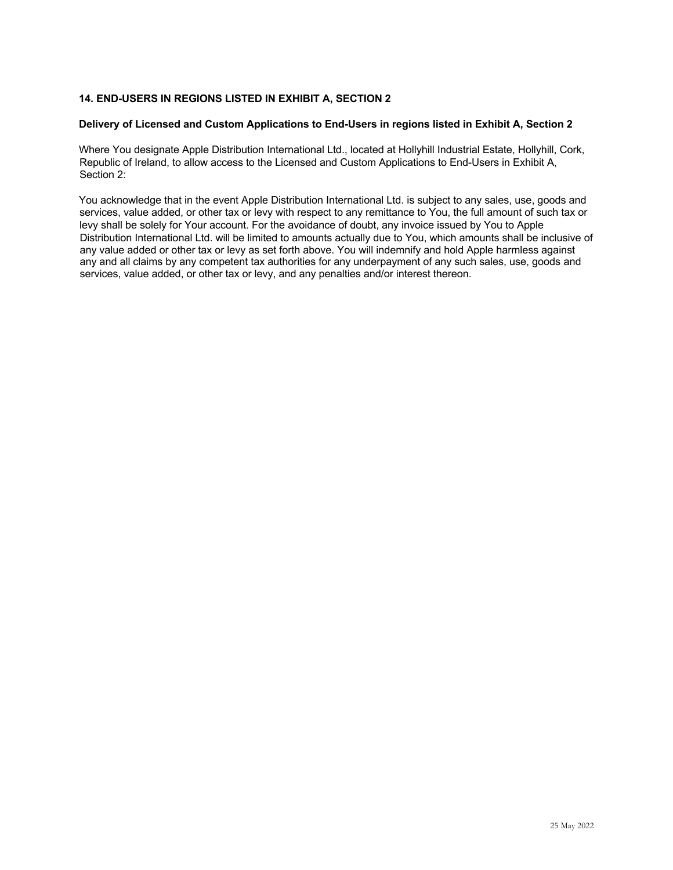# **14. END-USERS IN REGIONS LISTED IN EXHIBIT A, SECTION 2**

### **Delivery of Licensed and Custom Applications to End-Users in regions listed in Exhibit A, Section 2**

Where You designate Apple Distribution International Ltd., located at Hollyhill Industrial Estate, Hollyhill, Cork, Republic of Ireland, to allow access to the Licensed and Custom Applications to End-Users in Exhibit A, Section 2:

You acknowledge that in the event Apple Distribution International Ltd. is subject to any sales, use, goods and services, value added, or other tax or levy with respect to any remittance to You, the full amount of such tax or levy shall be solely for Your account. For the avoidance of doubt, any invoice issued by You to Apple Distribution International Ltd. will be limited to amounts actually due to You, which amounts shall be inclusive of any value added or other tax or levy as set forth above. You will indemnify and hold Apple harmless against any and all claims by any competent tax authorities for any underpayment of any such sales, use, goods and services, value added, or other tax or levy, and any penalties and/or interest thereon.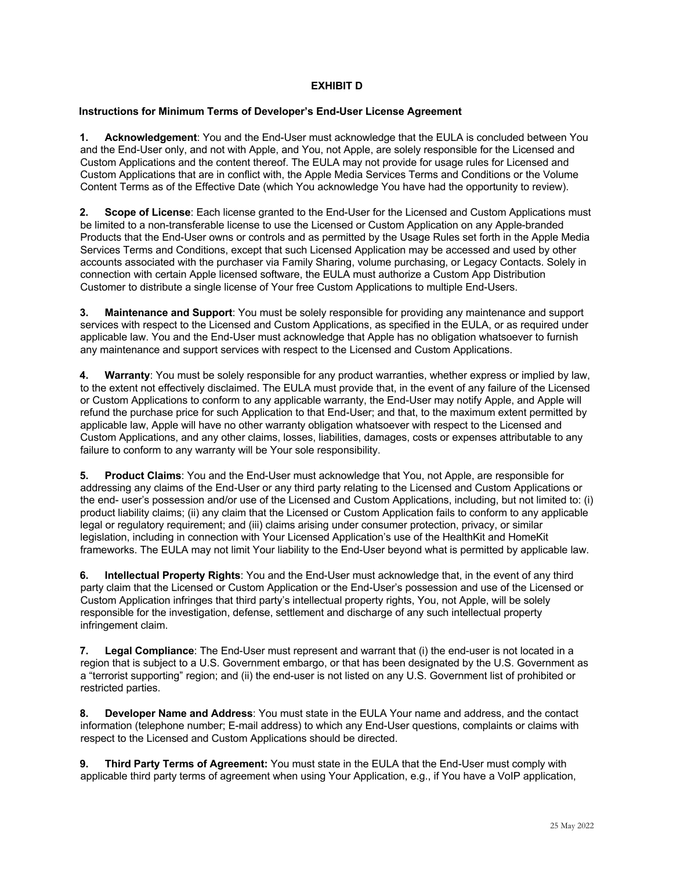# **EXHIBIT D**

### **Instructions for Minimum Terms of Developer's End-User License Agreement**

**1. Acknowledgement**: You and the End-User must acknowledge that the EULA is concluded between You and the End-User only, and not with Apple, and You, not Apple, are solely responsible for the Licensed and Custom Applications and the content thereof. The EULA may not provide for usage rules for Licensed and Custom Applications that are in conflict with, the Apple Media Services Terms and Conditions or the Volume Content Terms as of the Effective Date (which You acknowledge You have had the opportunity to review).

**2. Scope of License**: Each license granted to the End-User for the Licensed and Custom Applications must be limited to a non-transferable license to use the Licensed or Custom Application on any Apple-branded Products that the End-User owns or controls and as permitted by the Usage Rules set forth in the Apple Media Services Terms and Conditions, except that such Licensed Application may be accessed and used by other accounts associated with the purchaser via Family Sharing, volume purchasing, or Legacy Contacts. Solely in connection with certain Apple licensed software, the EULA must authorize a Custom App Distribution Customer to distribute a single license of Your free Custom Applications to multiple End-Users.

**3. Maintenance and Support**: You must be solely responsible for providing any maintenance and support services with respect to the Licensed and Custom Applications, as specified in the EULA, or as required under applicable law. You and the End-User must acknowledge that Apple has no obligation whatsoever to furnish any maintenance and support services with respect to the Licensed and Custom Applications.

**4. Warranty**: You must be solely responsible for any product warranties, whether express or implied by law, to the extent not effectively disclaimed. The EULA must provide that, in the event of any failure of the Licensed or Custom Applications to conform to any applicable warranty, the End-User may notify Apple, and Apple will refund the purchase price for such Application to that End-User; and that, to the maximum extent permitted by applicable law, Apple will have no other warranty obligation whatsoever with respect to the Licensed and Custom Applications, and any other claims, losses, liabilities, damages, costs or expenses attributable to any failure to conform to any warranty will be Your sole responsibility.

**5. Product Claims**: You and the End-User must acknowledge that You, not Apple, are responsible for addressing any claims of the End-User or any third party relating to the Licensed and Custom Applications or the end- user's possession and/or use of the Licensed and Custom Applications, including, but not limited to: (i) product liability claims; (ii) any claim that the Licensed or Custom Application fails to conform to any applicable legal or regulatory requirement; and (iii) claims arising under consumer protection, privacy, or similar legislation, including in connection with Your Licensed Application's use of the HealthKit and HomeKit frameworks. The EULA may not limit Your liability to the End-User beyond what is permitted by applicable law.

**6. Intellectual Property Rights**: You and the End-User must acknowledge that, in the event of any third party claim that the Licensed or Custom Application or the End-User's possession and use of the Licensed or Custom Application infringes that third party's intellectual property rights, You, not Apple, will be solely responsible for the investigation, defense, settlement and discharge of any such intellectual property infringement claim.

**7. Legal Compliance**: The End-User must represent and warrant that (i) the end-user is not located in a region that is subject to a U.S. Government embargo, or that has been designated by the U.S. Government as a "terrorist supporting" region; and (ii) the end-user is not listed on any U.S. Government list of prohibited or restricted parties.

**8. Developer Name and Address**: You must state in the EULA Your name and address, and the contact information (telephone number; E-mail address) to which any End-User questions, complaints or claims with respect to the Licensed and Custom Applications should be directed.

**9. Third Party Terms of Agreement:** You must state in the EULA that the End-User must comply with applicable third party terms of agreement when using Your Application, e.g., if You have a VoIP application,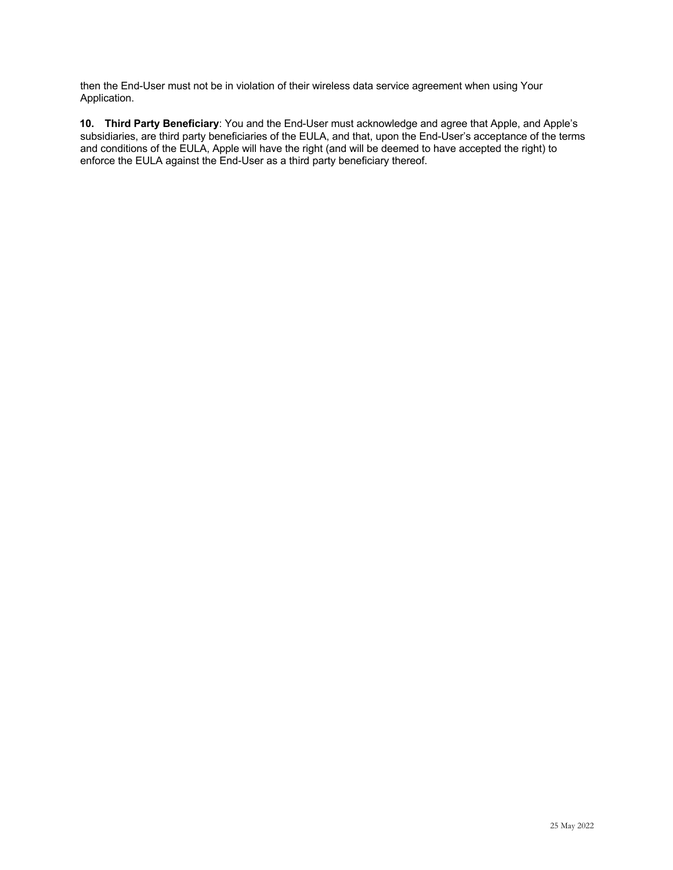then the End-User must not be in violation of their wireless data service agreement when using Your Application.

**10. Third Party Beneficiary**: You and the End-User must acknowledge and agree that Apple, and Apple's subsidiaries, are third party beneficiaries of the EULA, and that, upon the End-User's acceptance of the terms and conditions of the EULA, Apple will have the right (and will be deemed to have accepted the right) to enforce the EULA against the End-User as a third party beneficiary thereof.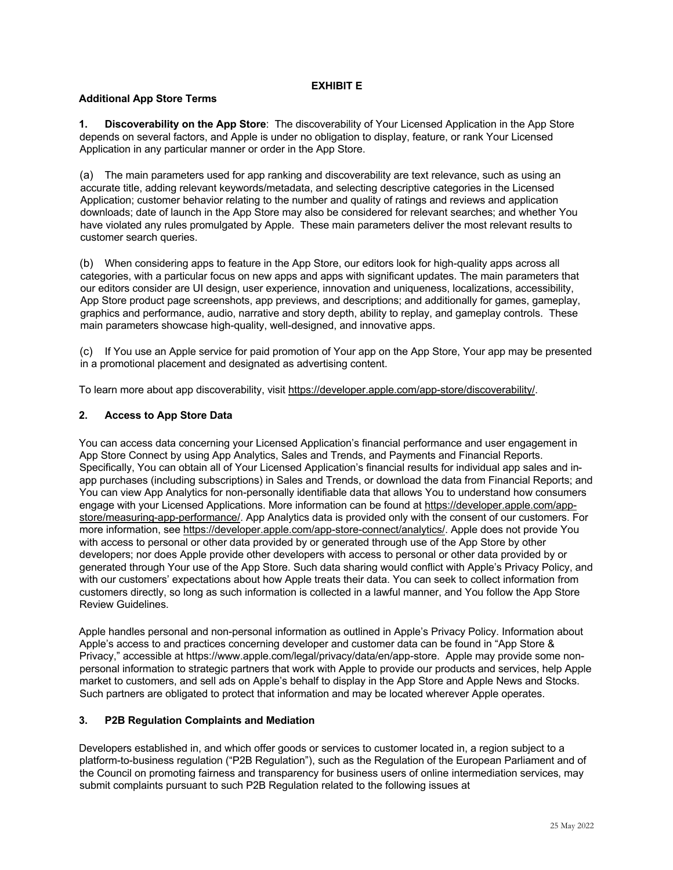### **EXHIBIT E**

# **Additional App Store Terms**

**1. Discoverability on the App Store**: The discoverability of Your Licensed Application in the App Store depends on several factors, and Apple is under no obligation to display, feature, or rank Your Licensed Application in any particular manner or order in the App Store.

(a) The main parameters used for app ranking and discoverability are text relevance, such as using an accurate title, adding relevant keywords/metadata, and selecting descriptive categories in the Licensed Application; customer behavior relating to the number and quality of ratings and reviews and application downloads; date of launch in the App Store may also be considered for relevant searches; and whether You have violated any rules promulgated by Apple. These main parameters deliver the most relevant results to customer search queries.

(b) When considering apps to feature in the App Store, our editors look for high-quality apps across all categories, with a particular focus on new apps and apps with significant updates. The main parameters that our editors consider are UI design, user experience, innovation and uniqueness, localizations, accessibility, App Store product page screenshots, app previews, and descriptions; and additionally for games, gameplay, graphics and performance, audio, narrative and story depth, ability to replay, and gameplay controls. These main parameters showcase high-quality, well-designed, and innovative apps.

(c) If You use an Apple service for paid promotion of Your app on the App Store, Your app may be presented in a promotional placement and designated as advertising content.

To learn more about app discoverability, visit https://developer.apple.com/app-store/discoverability/.

# **2. Access to App Store Data**

You can access data concerning your Licensed Application's financial performance and user engagement in App Store Connect by using App Analytics, Sales and Trends, and Payments and Financial Reports. Specifically, You can obtain all of Your Licensed Application's financial results for individual app sales and inapp purchases (including subscriptions) in Sales and Trends, or download the data from Financial Reports; and You can view App Analytics for non-personally identifiable data that allows You to understand how consumers engage with your Licensed Applications. More information can be found at https://developer.apple.com/appstore/measuring-app-performance/. App Analytics data is provided only with the consent of our customers. For more information, see https://developer.apple.com/app-store-connect/analytics/. Apple does not provide You with access to personal or other data provided by or generated through use of the App Store by other developers; nor does Apple provide other developers with access to personal or other data provided by or generated through Your use of the App Store. Such data sharing would conflict with Apple's Privacy Policy, and with our customers' expectations about how Apple treats their data. You can seek to collect information from customers directly, so long as such information is collected in a lawful manner, and You follow the App Store Review Guidelines.

Apple handles personal and non-personal information as outlined in Apple's Privacy Policy. Information about Apple's access to and practices concerning developer and customer data can be found in "App Store & Privacy," accessible at https://www.apple.com/legal/privacy/data/en/app-store. Apple may provide some nonpersonal information to strategic partners that work with Apple to provide our products and services, help Apple market to customers, and sell ads on Apple's behalf to display in the App Store and Apple News and Stocks. Such partners are obligated to protect that information and may be located wherever Apple operates.

# **3. P2B Regulation Complaints and Mediation**

Developers established in, and which offer goods or services to customer located in, a region subject to a platform-to-business regulation ("P2B Regulation"), such as the Regulation of the European Parliament and of the Council on promoting fairness and transparency for business users of online intermediation services, may submit complaints pursuant to such P2B Regulation related to the following issues at